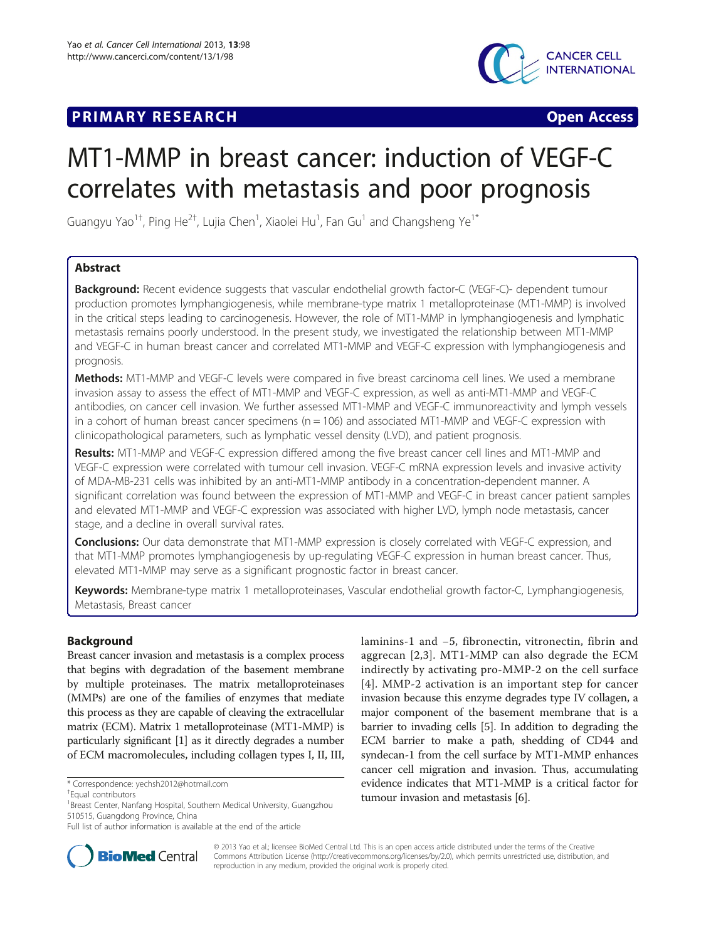## **PRIMARY RESEARCH CONSTRUCTION CONSTRUCTS**



# MT1-MMP in breast cancer: induction of VEGF-C correlates with metastasis and poor prognosis

Guangyu Yao $^{1\dagger}$ , Ping He $^{2\dagger}$ , Lujia Chen $^1$ , Xiaolei Hu $^1$ , Fan Gu $^1$  and Changsheng Ye $^{1*}$ 

## Abstract

**Background:** Recent evidence suggests that vascular endothelial growth factor-C (VEGF-C)- dependent tumour production promotes lymphangiogenesis, while membrane-type matrix 1 metalloproteinase (MT1-MMP) is involved in the critical steps leading to carcinogenesis. However, the role of MT1-MMP in lymphangiogenesis and lymphatic metastasis remains poorly understood. In the present study, we investigated the relationship between MT1-MMP and VEGF-C in human breast cancer and correlated MT1-MMP and VEGF-C expression with lymphangiogenesis and prognosis.

Methods: MT1-MMP and VEGF-C levels were compared in five breast carcinoma cell lines. We used a membrane invasion assay to assess the effect of MT1-MMP and VEGF-C expression, as well as anti-MT1-MMP and VEGF-C antibodies, on cancer cell invasion. We further assessed MT1-MMP and VEGF-C immunoreactivity and lymph vessels in a cohort of human breast cancer specimens ( $n = 106$ ) and associated MT1-MMP and VEGF-C expression with clinicopathological parameters, such as lymphatic vessel density (LVD), and patient prognosis.

Results: MT1-MMP and VEGF-C expression differed among the five breast cancer cell lines and MT1-MMP and VEGF-C expression were correlated with tumour cell invasion. VEGF-C mRNA expression levels and invasive activity of MDA-MB-231 cells was inhibited by an anti-MT1-MMP antibody in a concentration-dependent manner. A significant correlation was found between the expression of MT1-MMP and VEGF-C in breast cancer patient samples and elevated MT1-MMP and VEGF-C expression was associated with higher LVD, lymph node metastasis, cancer stage, and a decline in overall survival rates.

**Conclusions:** Our data demonstrate that MT1-MMP expression is closely correlated with VEGF-C expression, and that MT1-MMP promotes lymphangiogenesis by up-regulating VEGF-C expression in human breast cancer. Thus, elevated MT1-MMP may serve as a significant prognostic factor in breast cancer.

Keywords: Membrane-type matrix 1 metalloproteinases, Vascular endothelial growth factor-C, Lymphangiogenesis, Metastasis, Breast cancer

## Background

Breast cancer invasion and metastasis is a complex process that begins with degradation of the basement membrane by multiple proteinases. The matrix metalloproteinases (MMPs) are one of the families of enzymes that mediate this process as they are capable of cleaving the extracellular matrix (ECM). Matrix 1 metalloproteinase (MT1-MMP) is particularly significant [[1\]](#page-6-0) as it directly degrades a number of ECM macromolecules, including collagen types I, II, III,

laminins-1 and −5, fibronectin, vitronectin, fibrin and aggrecan [\[2,3](#page-6-0)]. MT1-MMP can also degrade the ECM indirectly by activating pro-MMP-2 on the cell surface [[4](#page-6-0)]. MMP-2 activation is an important step for cancer invasion because this enzyme degrades type IV collagen, a major component of the basement membrane that is a barrier to invading cells [[5](#page-6-0)]. In addition to degrading the ECM barrier to make a path, shedding of CD44 and syndecan-1 from the cell surface by MT1-MMP enhances cancer cell migration and invasion. Thus, accumulating evidence indicates that MT1-MMP is a critical factor for tumour invasion and metastasis [\[6](#page-6-0)].



© 2013 Yao et al.; licensee BioMed Central Ltd. This is an open access article distributed under the terms of the Creative Commons Attribution License [\(http://creativecommons.org/licenses/by/2.0\)](http://creativecommons.org/licenses/by/2.0), which permits unrestricted use, distribution, and reproduction in any medium, provided the original work is properly cited.

<sup>\*</sup> Correspondence: [yechsh2012@hotmail.com](mailto:yechsh2012@hotmail.com) †

Equal contributors

<sup>&</sup>lt;sup>1</sup> Breast Center, Nanfang Hospital, Southern Medical University, Guangzhou 510515, Guangdong Province, China

Full list of author information is available at the end of the article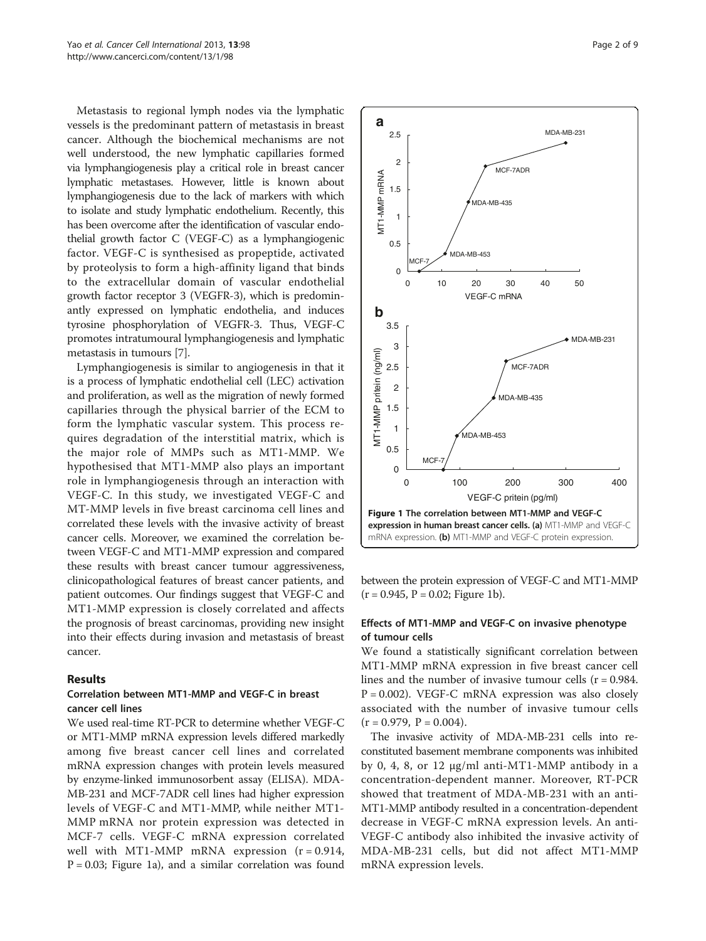Metastasis to regional lymph nodes via the lymphatic vessels is the predominant pattern of metastasis in breast cancer. Although the biochemical mechanisms are not well understood, the new lymphatic capillaries formed via lymphangiogenesis play a critical role in breast cancer lymphatic metastases. However, little is known about lymphangiogenesis due to the lack of markers with which to isolate and study lymphatic endothelium. Recently, this has been overcome after the identification of vascular endothelial growth factor C (VEGF-C) as a lymphangiogenic factor. VEGF-C is synthesised as propeptide, activated by proteolysis to form a high-affinity ligand that binds to the extracellular domain of vascular endothelial growth factor receptor 3 (VEGFR-3), which is predominantly expressed on lymphatic endothelia, and induces tyrosine phosphorylation of VEGFR-3. Thus, VEGF-C promotes intratumoural lymphangiogenesis and lymphatic metastasis in tumours [\[7](#page-6-0)].

Lymphangiogenesis is similar to angiogenesis in that it is a process of lymphatic endothelial cell (LEC) activation and proliferation, as well as the migration of newly formed capillaries through the physical barrier of the ECM to form the lymphatic vascular system. This process requires degradation of the interstitial matrix, which is the major role of MMPs such as MT1-MMP. We hypothesised that MT1-MMP also plays an important role in lymphangiogenesis through an interaction with VEGF-C. In this study, we investigated VEGF-C and MT-MMP levels in five breast carcinoma cell lines and correlated these levels with the invasive activity of breast cancer cells. Moreover, we examined the correlation between VEGF-C and MT1-MMP expression and compared these results with breast cancer tumour aggressiveness, clinicopathological features of breast cancer patients, and patient outcomes. Our findings suggest that VEGF-C and MT1-MMP expression is closely correlated and affects the prognosis of breast carcinomas, providing new insight into their effects during invasion and metastasis of breast cancer.

#### Results

## Correlation between MT1-MMP and VEGF-C in breast cancer cell lines

We used real-time RT-PCR to determine whether VEGF-C or MT1-MMP mRNA expression levels differed markedly among five breast cancer cell lines and correlated mRNA expression changes with protein levels measured by enzyme-linked immunosorbent assay (ELISA). MDA-MB-231 and MCF-7ADR cell lines had higher expression levels of VEGF-C and MT1-MMP, while neither MT1- MMP mRNA nor protein expression was detected in MCF-7 cells. VEGF-C mRNA expression correlated well with MT1-MMP mRNA expression  $(r = 0.914,$  $P = 0.03$ ; Figure 1a), and a similar correlation was found



between the protein expression of VEGF-C and MT1-MMP  $(r = 0.945, P = 0.02;$  Figure 1b).

## Effects of MT1-MMP and VEGF-C on invasive phenotype of tumour cells

We found a statistically significant correlation between MT1-MMP mRNA expression in five breast cancer cell lines and the number of invasive tumour cells  $(r = 0.984$ .  $P = 0.002$ ). VEGF-C mRNA expression was also closely associated with the number of invasive tumour cells  $(r = 0.979, P = 0.004).$ 

The invasive activity of MDA-MB-231 cells into reconstituted basement membrane components was inhibited by 0, 4, 8, or 12 μg/ml anti-MT1-MMP antibody in a concentration-dependent manner. Moreover, RT-PCR showed that treatment of MDA-MB-231 with an anti-MT1-MMP antibody resulted in a concentration-dependent decrease in VEGF-C mRNA expression levels. An anti-VEGF-C antibody also inhibited the invasive activity of MDA-MB-231 cells, but did not affect MT1-MMP mRNA expression levels.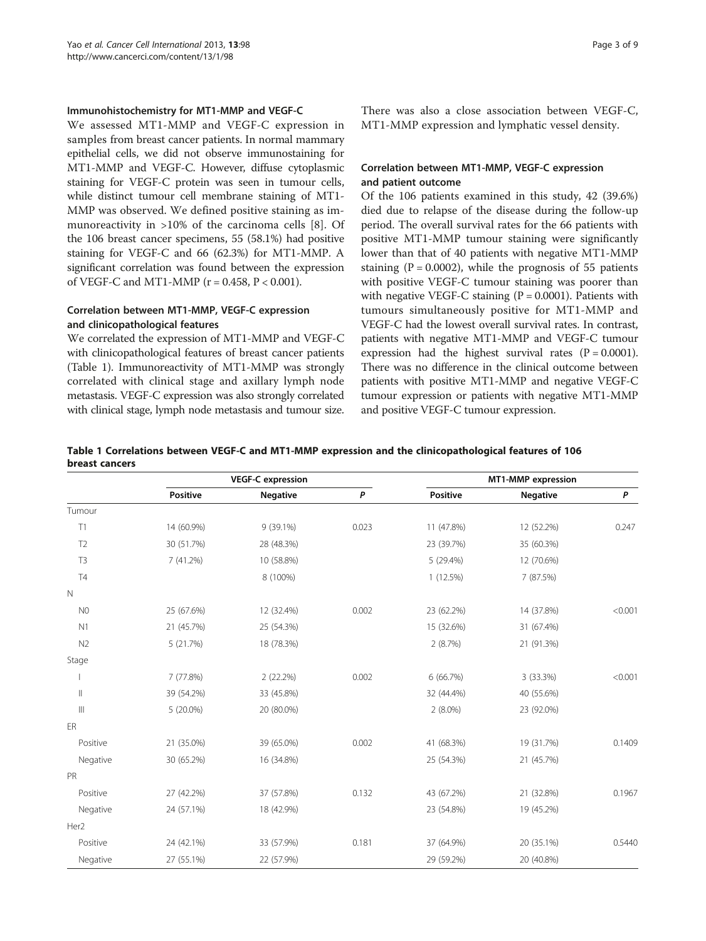## Immunohistochemistry for MT1-MMP and VEGF-C

We assessed MT1-MMP and VEGF-C expression in samples from breast cancer patients. In normal mammary epithelial cells, we did not observe immunostaining for MT1-MMP and VEGF-C. However, diffuse cytoplasmic staining for VEGF-C protein was seen in tumour cells, while distinct tumour cell membrane staining of MT1- MMP was observed. We defined positive staining as immunoreactivity in >10% of the carcinoma cells [\[8](#page-6-0)]. Of the 106 breast cancer specimens, 55 (58.1%) had positive staining for VEGF-C and 66 (62.3%) for MT1-MMP. A significant correlation was found between the expression of VEGF-C and MT1-MMP ( $r = 0.458$ ,  $P < 0.001$ ).

## Correlation between MT1-MMP, VEGF-C expression and clinicopathological features

We correlated the expression of MT1-MMP and VEGF-C with clinicopathological features of breast cancer patients (Table 1). Immunoreactivity of MT1-MMP was strongly correlated with clinical stage and axillary lymph node metastasis. VEGF-C expression was also strongly correlated with clinical stage, lymph node metastasis and tumour size.

There was also a close association between VEGF-C, MT1-MMP expression and lymphatic vessel density.

## Correlation between MT1-MMP, VEGF-C expression and patient outcome

Of the 106 patients examined in this study, 42 (39.6%) died due to relapse of the disease during the follow-up period. The overall survival rates for the 66 patients with positive MT1-MMP tumour staining were significantly lower than that of 40 patients with negative MT1-MMP staining  $(P = 0.0002)$ , while the prognosis of 55 patients with positive VEGF-C tumour staining was poorer than with negative VEGF-C staining  $(P = 0.0001)$ . Patients with tumours simultaneously positive for MT1-MMP and VEGF-C had the lowest overall survival rates. In contrast, patients with negative MT1-MMP and VEGF-C tumour expression had the highest survival rates  $(P = 0.0001)$ . There was no difference in the clinical outcome between patients with positive MT1-MMP and negative VEGF-C tumour expression or patients with negative MT1-MMP and positive VEGF-C tumour expression.

#### Table 1 Correlations between VEGF-C and MT1-MMP expression and the clinicopathological features of 106 breast cancers

|                                                                                                                                                                                                                                                                                                                                                                                                                              | <b>VEGF-C</b> expression |                 |       | MT1-MMP expression |                 |         |
|------------------------------------------------------------------------------------------------------------------------------------------------------------------------------------------------------------------------------------------------------------------------------------------------------------------------------------------------------------------------------------------------------------------------------|--------------------------|-----------------|-------|--------------------|-----------------|---------|
|                                                                                                                                                                                                                                                                                                                                                                                                                              | <b>Positive</b>          | <b>Negative</b> | P     | <b>Positive</b>    | <b>Negative</b> | P       |
| Tumour                                                                                                                                                                                                                                                                                                                                                                                                                       |                          |                 |       |                    |                 |         |
| T1                                                                                                                                                                                                                                                                                                                                                                                                                           | 14 (60.9%)               | 9 (39.1%)       | 0.023 | 11 (47.8%)         | 12 (52.2%)      | 0.247   |
| T <sub>2</sub>                                                                                                                                                                                                                                                                                                                                                                                                               | 30 (51.7%)               | 28 (48.3%)      |       | 23 (39.7%)         | 35 (60.3%)      |         |
| T <sub>3</sub>                                                                                                                                                                                                                                                                                                                                                                                                               | 7 (41.2%)                | 10 (58.8%)      |       | 5 (29.4%)          | 12 (70.6%)      |         |
| <b>T4</b>                                                                                                                                                                                                                                                                                                                                                                                                                    |                          | 8 (100%)        |       | 1(12.5%)           | 7 (87.5%)       |         |
| $\mathbb N$                                                                                                                                                                                                                                                                                                                                                                                                                  |                          |                 |       |                    |                 |         |
| N <sub>0</sub>                                                                                                                                                                                                                                                                                                                                                                                                               | 25 (67.6%)               | 12 (32.4%)      | 0.002 | 23 (62.2%)         | 14 (37.8%)      | < 0.001 |
| N1                                                                                                                                                                                                                                                                                                                                                                                                                           | 21 (45.7%)               | 25 (54.3%)      |       | 15 (32.6%)         | 31 (67.4%)      |         |
| N <sub>2</sub>                                                                                                                                                                                                                                                                                                                                                                                                               | 5 (21.7%)                | 18 (78.3%)      |       | 2(8.7%)            | 21 (91.3%)      |         |
| Stage                                                                                                                                                                                                                                                                                                                                                                                                                        |                          |                 |       |                    |                 |         |
|                                                                                                                                                                                                                                                                                                                                                                                                                              | 7 (77.8%)                | 2(22.2%)        | 0.002 | 6(66.7%)           | 3 (33.3%)       | < 0.001 |
| $\label{eq:1} \prod_{i=1}^n \alpha_i \, \prod_{i=1}^n \alpha_i \, \prod_{i=1}^n \alpha_i \, \prod_{i=1}^n \alpha_i \, \prod_{i=1}^n \alpha_i \, \prod_{i=1}^n \alpha_i \, \prod_{i=1}^n \alpha_i \, \prod_{i=1}^n \alpha_i \, \prod_{i=1}^n \alpha_i \, \prod_{i=1}^n \alpha_i \, \prod_{i=1}^n \alpha_i \, \prod_{i=1}^n \alpha_i \, \prod_{i=1}^n \alpha_i \, \prod_{i=1}^n \alpha_i \, \prod_{i=1}^n \alpha_i \, \prod_{$ | 39 (54.2%)               | 33 (45.8%)      |       | 32 (44.4%)         | 40 (55.6%)      |         |
| $\  \ $                                                                                                                                                                                                                                                                                                                                                                                                                      | 5 (20.0%)                | 20 (80.0%)      |       | $2(8.0\%)$         | 23 (92.0%)      |         |
| ER                                                                                                                                                                                                                                                                                                                                                                                                                           |                          |                 |       |                    |                 |         |
| Positive                                                                                                                                                                                                                                                                                                                                                                                                                     | 21 (35.0%)               | 39 (65.0%)      | 0.002 | 41 (68.3%)         | 19 (31.7%)      | 0.1409  |
| Negative                                                                                                                                                                                                                                                                                                                                                                                                                     | 30 (65.2%)               | 16 (34.8%)      |       | 25 (54.3%)         | 21 (45.7%)      |         |
| PR                                                                                                                                                                                                                                                                                                                                                                                                                           |                          |                 |       |                    |                 |         |
| Positive                                                                                                                                                                                                                                                                                                                                                                                                                     | 27 (42.2%)               | 37 (57.8%)      | 0.132 | 43 (67.2%)         | 21 (32.8%)      | 0.1967  |
| Negative                                                                                                                                                                                                                                                                                                                                                                                                                     | 24 (57.1%)               | 18 (42.9%)      |       | 23 (54.8%)         | 19 (45.2%)      |         |
| Her <sub>2</sub>                                                                                                                                                                                                                                                                                                                                                                                                             |                          |                 |       |                    |                 |         |
| Positive                                                                                                                                                                                                                                                                                                                                                                                                                     | 24 (42.1%)               | 33 (57.9%)      | 0.181 | 37 (64.9%)         | 20 (35.1%)      | 0.5440  |
| Negative                                                                                                                                                                                                                                                                                                                                                                                                                     | 27 (55.1%)               | 22 (57.9%)      |       | 29 (59.2%)         | 20 (40.8%)      |         |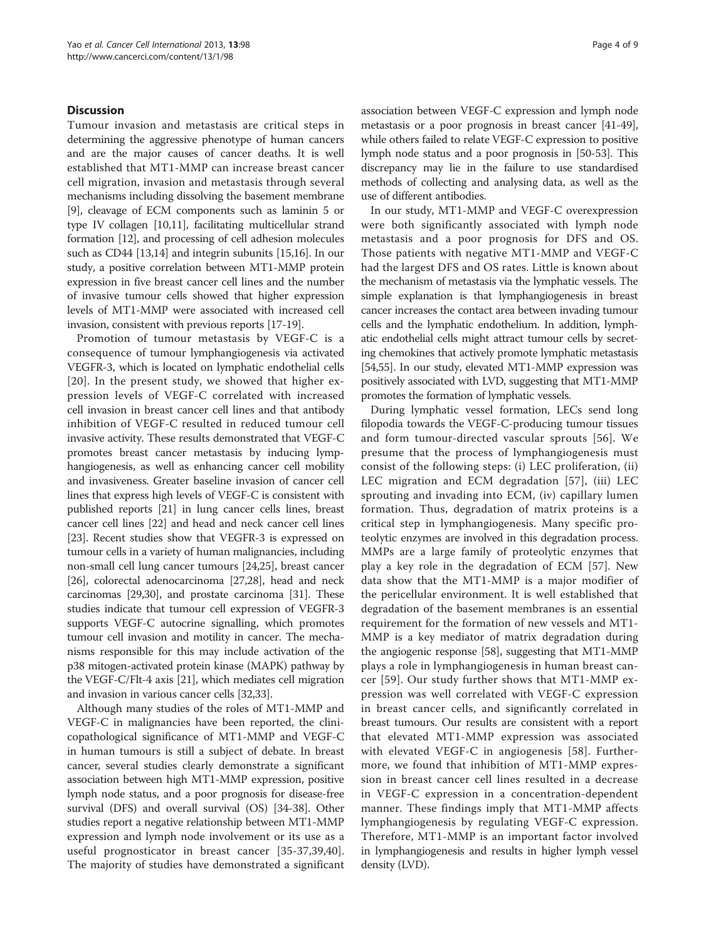## **Discussion**

Tumour invasion and metastasis are critical steps in determining the aggressive phenotype of human cancers and are the major causes of cancer deaths. It is well established that MT1-MMP can increase breast cancer cell migration, invasion and metastasis through several mechanisms including dissolving the basement membrane [[9\]](#page-6-0), cleavage of ECM components such as laminin 5 or type IV collagen [[10,11\]](#page-6-0), facilitating multicellular strand formation [[12](#page-6-0)], and processing of cell adhesion molecules such as CD44 [[13,](#page-6-0)[14](#page-7-0)] and integrin subunits [\[15,16](#page-7-0)]. In our study, a positive correlation between MT1-MMP protein expression in five breast cancer cell lines and the number of invasive tumour cells showed that higher expression levels of MT1-MMP were associated with increased cell invasion, consistent with previous reports [\[17](#page-7-0)-[19](#page-7-0)].

Promotion of tumour metastasis by VEGF-C is a consequence of tumour lymphangiogenesis via activated VEGFR-3, which is located on lymphatic endothelial cells [[20](#page-7-0)]. In the present study, we showed that higher expression levels of VEGF-C correlated with increased cell invasion in breast cancer cell lines and that antibody inhibition of VEGF-C resulted in reduced tumour cell invasive activity. These results demonstrated that VEGF-C promotes breast cancer metastasis by inducing lymphangiogenesis, as well as enhancing cancer cell mobility and invasiveness. Greater baseline invasion of cancer cell lines that express high levels of VEGF-C is consistent with published reports [\[21\]](#page-7-0) in lung cancer cells lines, breast cancer cell lines [\[22\]](#page-7-0) and head and neck cancer cell lines [[23](#page-7-0)]. Recent studies show that VEGFR-3 is expressed on tumour cells in a variety of human malignancies, including non-small cell lung cancer tumours [\[24,25\]](#page-7-0), breast cancer [[26](#page-7-0)], colorectal adenocarcinoma [[27,28](#page-7-0)], head and neck carcinomas [\[29,30](#page-7-0)], and prostate carcinoma [\[31\]](#page-7-0). These studies indicate that tumour cell expression of VEGFR-3 supports VEGF-C autocrine signalling, which promotes tumour cell invasion and motility in cancer. The mechanisms responsible for this may include activation of the p38 mitogen-activated protein kinase (MAPK) pathway by the VEGF-C/Flt-4 axis [\[21\]](#page-7-0), which mediates cell migration and invasion in various cancer cells [\[32,33\]](#page-7-0).

Although many studies of the roles of MT1-MMP and VEGF-C in malignancies have been reported, the clinicopathological significance of MT1-MMP and VEGF-C in human tumours is still a subject of debate. In breast cancer, several studies clearly demonstrate a significant association between high MT1-MMP expression, positive lymph node status, and a poor prognosis for disease-free survival (DFS) and overall survival (OS) [[34-38\]](#page-7-0). Other studies report a negative relationship between MT1-MMP expression and lymph node involvement or its use as a useful prognosticator in breast cancer [[35](#page-7-0)-[37,39,40](#page-7-0)]. The majority of studies have demonstrated a significant

association between VEGF-C expression and lymph node metastasis or a poor prognosis in breast cancer [[41](#page-7-0)-[49](#page-7-0)], while others failed to relate VEGF-C expression to positive lymph node status and a poor prognosis in [\[50-53\]](#page-7-0). This discrepancy may lie in the failure to use standardised methods of collecting and analysing data, as well as the use of different antibodies.

In our study, MT1-MMP and VEGF-C overexpression were both significantly associated with lymph node metastasis and a poor prognosis for DFS and OS. Those patients with negative MT1-MMP and VEGF-C had the largest DFS and OS rates. Little is known about the mechanism of metastasis via the lymphatic vessels. The simple explanation is that lymphangiogenesis in breast cancer increases the contact area between invading tumour cells and the lymphatic endothelium. In addition, lymphatic endothelial cells might attract tumour cells by secreting chemokines that actively promote lymphatic metastasis [[54](#page-7-0)[,55\]](#page-8-0). In our study, elevated MT1-MMP expression was positively associated with LVD, suggesting that MT1-MMP promotes the formation of lymphatic vessels.

During lymphatic vessel formation, LECs send long filopodia towards the VEGF-C-producing tumour tissues and form tumour-directed vascular sprouts [[56\]](#page-8-0). We presume that the process of lymphangiogenesis must consist of the following steps: (i) LEC proliferation, (ii) LEC migration and ECM degradation [[57](#page-8-0)], (iii) LEC sprouting and invading into ECM, (iv) capillary lumen formation. Thus, degradation of matrix proteins is a critical step in lymphangiogenesis. Many specific proteolytic enzymes are involved in this degradation process. MMPs are a large family of proteolytic enzymes that play a key role in the degradation of ECM [[57\]](#page-8-0). New data show that the MT1-MMP is a major modifier of the pericellular environment. It is well established that degradation of the basement membranes is an essential requirement for the formation of new vessels and MT1- MMP is a key mediator of matrix degradation during the angiogenic response [\[58\]](#page-8-0), suggesting that MT1-MMP plays a role in lymphangiogenesis in human breast cancer [\[59\]](#page-8-0). Our study further shows that MT1-MMP expression was well correlated with VEGF-C expression in breast cancer cells, and significantly correlated in breast tumours. Our results are consistent with a report that elevated MT1-MMP expression was associated with elevated VEGF-C in angiogenesis [[58\]](#page-8-0). Furthermore, we found that inhibition of MT1-MMP expression in breast cancer cell lines resulted in a decrease in VEGF-C expression in a concentration-dependent manner. These findings imply that MT1-MMP affects lymphangiogenesis by regulating VEGF-C expression. Therefore, MT1-MMP is an important factor involved in lymphangiogenesis and results in higher lymph vessel density (LVD).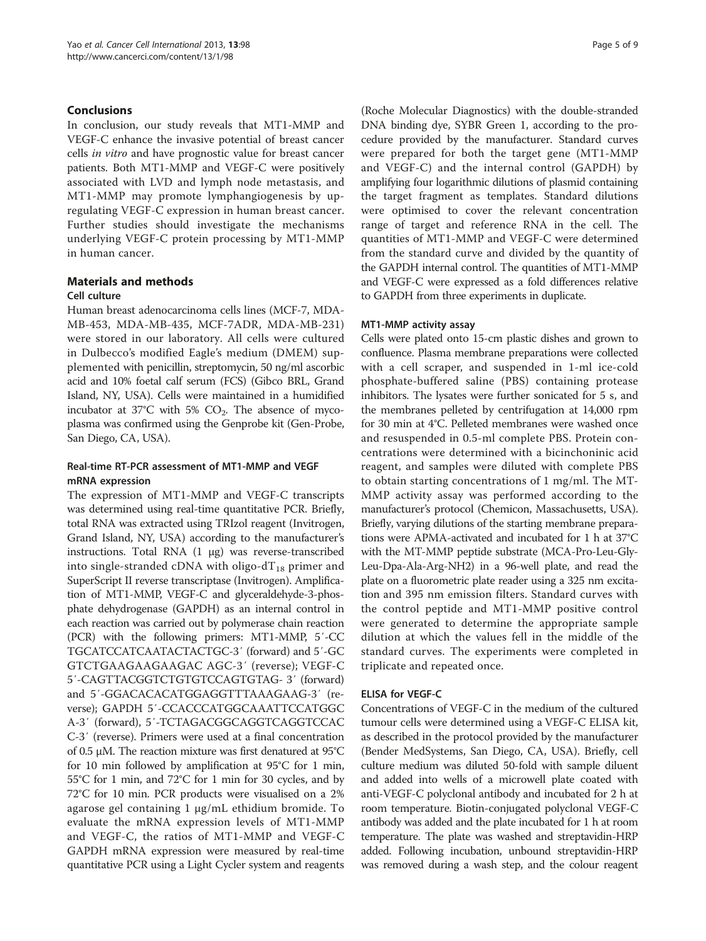## Conclusions

In conclusion, our study reveals that MT1-MMP and VEGF-C enhance the invasive potential of breast cancer cells in vitro and have prognostic value for breast cancer patients. Both MT1-MMP and VEGF-C were positively associated with LVD and lymph node metastasis, and MT1-MMP may promote lymphangiogenesis by upregulating VEGF-C expression in human breast cancer. Further studies should investigate the mechanisms underlying VEGF-C protein processing by MT1-MMP in human cancer.

## Materials and methods

## Cell culture

Human breast adenocarcinoma cells lines (MCF-7, MDA-MB-453, MDA-MB-435, MCF-7ADR, MDA-MB-231) were stored in our laboratory. All cells were cultured in Dulbecco's modified Eagle's medium (DMEM) supplemented with penicillin, streptomycin, 50 ng/ml ascorbic acid and 10% foetal calf serum (FCS) (Gibco BRL, Grand Island, NY, USA). Cells were maintained in a humidified incubator at 37 $\degree$ C with 5% CO<sub>2</sub>. The absence of mycoplasma was confirmed using the Genprobe kit (Gen-Probe, San Diego, CA, USA).

## Real-time RT-PCR assessment of MT1-MMP and VEGF mRNA expression

The expression of MT1-MMP and VEGF-C transcripts was determined using real-time quantitative PCR. Briefly, total RNA was extracted using TRIzol reagent (Invitrogen, Grand Island, NY, USA) according to the manufacturer's instructions. Total RNA (1 μg) was reverse-transcribed into single-stranded cDNA with oligo-d $T_{18}$  primer and SuperScript II reverse transcriptase (Invitrogen). Amplification of MT1-MMP, VEGF-C and glyceraldehyde-3-phosphate dehydrogenase (GAPDH) as an internal control in each reaction was carried out by polymerase chain reaction (PCR) with the following primers: MT1-MMP, 5′-CC TGCATCCATCAATACTACTGC-3′ (forward) and 5′-GC GTCTGAAGAAGAAGAC AGC-3′ (reverse); VEGF-C 5′-CAGTTACGGTCTGTGTCCAGTGTAG- 3′ (forward) and 5′-GGACACACATGGAGGTTTAAAGAAG-3′ (reverse); GAPDH 5′-CCACCCATGGCAAATTCCATGGC A-3′ (forward), 5′-TCTAGACGGCAGGTCAGGTCCAC C-3′ (reverse). Primers were used at a final concentration of 0.5 μM. The reaction mixture was first denatured at 95°C for 10 min followed by amplification at 95°C for 1 min, 55°C for 1 min, and 72°C for 1 min for 30 cycles, and by 72°C for 10 min. PCR products were visualised on a 2% agarose gel containing 1 μg/mL ethidium bromide. To evaluate the mRNA expression levels of MT1-MMP and VEGF-C, the ratios of MT1-MMP and VEGF-C GAPDH mRNA expression were measured by real-time quantitative PCR using a Light Cycler system and reagents (Roche Molecular Diagnostics) with the double-stranded DNA binding dye, SYBR Green 1, according to the procedure provided by the manufacturer. Standard curves were prepared for both the target gene (MT1-MMP and VEGF-C) and the internal control (GAPDH) by amplifying four logarithmic dilutions of plasmid containing the target fragment as templates. Standard dilutions were optimised to cover the relevant concentration range of target and reference RNA in the cell. The quantities of MT1-MMP and VEGF-C were determined from the standard curve and divided by the quantity of the GAPDH internal control. The quantities of MT1-MMP and VEGF-C were expressed as a fold differences relative to GAPDH from three experiments in duplicate.

## MT1-MMP activity assay

Cells were plated onto 15-cm plastic dishes and grown to confluence. Plasma membrane preparations were collected with a cell scraper, and suspended in 1-ml ice-cold phosphate-buffered saline (PBS) containing protease inhibitors. The lysates were further sonicated for 5 s, and the membranes pelleted by centrifugation at 14,000 rpm for 30 min at 4°C. Pelleted membranes were washed once and resuspended in 0.5-ml complete PBS. Protein concentrations were determined with a bicinchoninic acid reagent, and samples were diluted with complete PBS to obtain starting concentrations of 1 mg/ml. The MT-MMP activity assay was performed according to the manufacturer's protocol (Chemicon, Massachusetts, USA). Briefly, varying dilutions of the starting membrane preparations were APMA-activated and incubated for 1 h at 37°C with the MT-MMP peptide substrate (MCA-Pro-Leu-Gly-Leu-Dpa-Ala-Arg-NH2) in a 96-well plate, and read the plate on a fluorometric plate reader using a 325 nm excitation and 395 nm emission filters. Standard curves with the control peptide and MT1-MMP positive control were generated to determine the appropriate sample dilution at which the values fell in the middle of the standard curves. The experiments were completed in triplicate and repeated once.

## ELISA for VEGF-C

Concentrations of VEGF-C in the medium of the cultured tumour cells were determined using a VEGF-C ELISA kit, as described in the protocol provided by the manufacturer (Bender MedSystems, San Diego, CA, USA). Briefly, cell culture medium was diluted 50-fold with sample diluent and added into wells of a microwell plate coated with anti-VEGF-C polyclonal antibody and incubated for 2 h at room temperature. Biotin-conjugated polyclonal VEGF-C antibody was added and the plate incubated for 1 h at room temperature. The plate was washed and streptavidin-HRP added. Following incubation, unbound streptavidin-HRP was removed during a wash step, and the colour reagent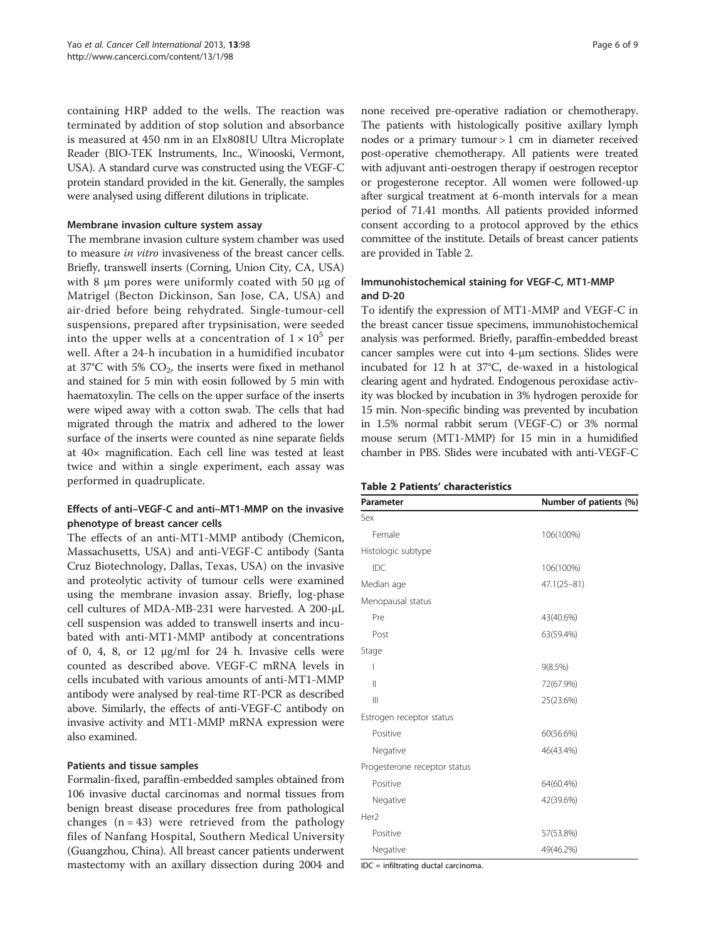containing HRP added to the wells. The reaction was terminated by addition of stop solution and absorbance is measured at 450 nm in an Elx808IU Ultra Microplate Reader (BIO-TEK Instruments, Inc., Winooski, Vermont, USA). A standard curve was constructed using the VEGF-C protein standard provided in the kit. Generally, the samples were analysed using different dilutions in triplicate.

#### Membrane invasion culture system assay

The membrane invasion culture system chamber was used to measure in vitro invasiveness of the breast cancer cells. Briefly, transwell inserts (Corning, Union City, CA, USA) with 8 μm pores were uniformly coated with 50 μg of Matrigel (Becton Dickinson, San Jose, CA, USA) and air-dried before being rehydrated. Single-tumour-cell suspensions, prepared after trypsinisation, were seeded into the upper wells at a concentration of  $1 \times 10^5$  per well. After a 24-h incubation in a humidified incubator at  $37^{\circ}$ C with 5%  $CO_{2}$ , the inserts were fixed in methanol and stained for 5 min with eosin followed by 5 min with haematoxylin. The cells on the upper surface of the inserts were wiped away with a cotton swab. The cells that had migrated through the matrix and adhered to the lower surface of the inserts were counted as nine separate fields at 40× magnification. Each cell line was tested at least twice and within a single experiment, each assay was performed in quadruplicate.

## Effects of anti–VEGF-C and anti–MT1-MMP on the invasive phenotype of breast cancer cells

The effects of an anti-MT1-MMP antibody (Chemicon, Massachusetts, USA) and anti-VEGF-C antibody (Santa Cruz Biotechnology, Dallas, Texas, USA) on the invasive and proteolytic activity of tumour cells were examined using the membrane invasion assay. Briefly, log-phase cell cultures of MDA-MB-231 were harvested. A 200-μL cell suspension was added to transwell inserts and incubated with anti-MT1-MMP antibody at concentrations of 0, 4, 8, or 12  $\mu$ g/ml for 24 h. Invasive cells were counted as described above. VEGF-C mRNA levels in cells incubated with various amounts of anti-MT1-MMP antibody were analysed by real-time RT-PCR as described above. Similarly, the effects of anti-VEGF-C antibody on invasive activity and MT1-MMP mRNA expression were also examined.

#### Patients and tissue samples

Formalin-fixed, paraffin-embedded samples obtained from 106 invasive ductal carcinomas and normal tissues from benign breast disease procedures free from pathological changes  $(n = 43)$  were retrieved from the pathology files of Nanfang Hospital, Southern Medical University (Guangzhou, China). All breast cancer patients underwent mastectomy with an axillary dissection during 2004 and

none received pre-operative radiation or chemotherapy. The patients with histologically positive axillary lymph nodes or a primary tumour > 1 cm in diameter received post-operative chemotherapy. All patients were treated with adjuvant anti-oestrogen therapy if oestrogen receptor or progesterone receptor. All women were followed-up after surgical treatment at 6-month intervals for a mean period of 71.41 months. All patients provided informed consent according to a protocol approved by the ethics committee of the institute. Details of breast cancer patients are provided in Table 2.

## Immunohistochemical staining for VEGF-C, MT1-MMP and D-20

To identify the expression of MT1-MMP and VEGF-C in the breast cancer tissue specimens, immunohistochemical analysis was performed. Briefly, paraffin-embedded breast cancer samples were cut into 4-μm sections. Slides were incubated for 12 h at 37°C, de-waxed in a histological clearing agent and hydrated. Endogenous peroxidase activity was blocked by incubation in 3% hydrogen peroxide for 15 min. Non-specific binding was prevented by incubation in 1.5% normal rabbit serum (VEGF-C) or 3% normal mouse serum (MT1-MMP) for 15 min in a humidified chamber in PBS. Slides were incubated with anti-VEGF-C

| Parameter                    | Number of patients (%) |  |  |
|------------------------------|------------------------|--|--|
| Sex                          |                        |  |  |
| Female                       | 106(100%)              |  |  |
| Histologic subtype           |                        |  |  |
| IDC                          | 106(100%)              |  |  |
| Median age                   | $47.1(25 - 81)$        |  |  |
| Menopausal status            |                        |  |  |
| Pre                          | 43(40.6%)              |  |  |
| Post                         | 63(59.4%)              |  |  |
| Stage                        |                        |  |  |
| I                            | 9(8.5%)                |  |  |
| $\mathbf{I}$                 | 72(67.9%)              |  |  |
| $\parallel$                  | 25(23.6%)              |  |  |
| Estrogen receptor status     |                        |  |  |
| Positive                     | 60(56.6%)              |  |  |
| Negative                     | 46(43.4%)              |  |  |
| Progesterone receptor status |                        |  |  |
| Positive                     | 64(60.4%)              |  |  |
| Negative                     | 42(39.6%)              |  |  |
| Her <sub>2</sub>             |                        |  |  |
| Positive                     | 57(53.8%)              |  |  |
| Negative                     | 49(46.2%)              |  |  |

IDC = infiltrating ductal carcinoma.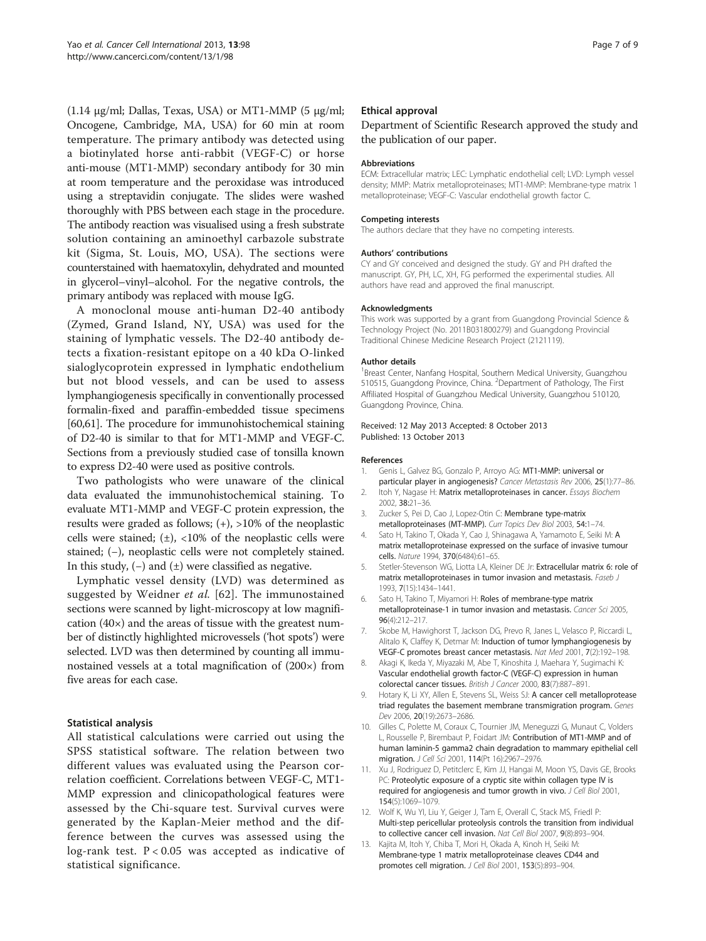<span id="page-6-0"></span>(1.14 μg/ml; Dallas, Texas, USA) or MT1-MMP (5 μg/ml; Oncogene, Cambridge, MA, USA) for 60 min at room temperature. The primary antibody was detected using a biotinylated horse anti-rabbit (VEGF-C) or horse anti-mouse (MT1-MMP) secondary antibody for 30 min at room temperature and the peroxidase was introduced using a streptavidin conjugate. The slides were washed thoroughly with PBS between each stage in the procedure. The antibody reaction was visualised using a fresh substrate solution containing an aminoethyl carbazole substrate kit (Sigma, St. Louis, MO, USA). The sections were counterstained with haematoxylin, dehydrated and mounted in glycerol–vinyl–alcohol. For the negative controls, the primary antibody was replaced with mouse IgG.

A monoclonal mouse anti-human D2-40 antibody (Zymed, Grand Island, NY, USA) was used for the staining of lymphatic vessels. The D2-40 antibody detects a fixation-resistant epitope on a 40 kDa O-linked sialoglycoprotein expressed in lymphatic endothelium but not blood vessels, and can be used to assess lymphangiogenesis specifically in conventionally processed formalin-fixed and paraffin-embedded tissue specimens [[60,61](#page-8-0)]. The procedure for immunohistochemical staining of D2-40 is similar to that for MT1-MMP and VEGF-C. Sections from a previously studied case of tonsilla known to express D2-40 were used as positive controls.

Two pathologists who were unaware of the clinical data evaluated the immunohistochemical staining. To evaluate MT1-MMP and VEGF-C protein expression, the results were graded as follows; (+), >10% of the neoplastic cells were stained;  $(\pm)$ , <10% of the neoplastic cells were stained; (−), neoplastic cells were not completely stained. In this study,  $(-)$  and  $(\pm)$  were classified as negative.

Lymphatic vessel density (LVD) was determined as suggested by Weidner et al. [[62\]](#page-8-0). The immunostained sections were scanned by light-microscopy at low magnification (40×) and the areas of tissue with the greatest number of distinctly highlighted microvessels ('hot spots') were selected. LVD was then determined by counting all immunostained vessels at a total magnification of (200×) from five areas for each case.

## Statistical analysis

All statistical calculations were carried out using the SPSS statistical software. The relation between two different values was evaluated using the Pearson correlation coefficient. Correlations between VEGF-C, MT1- MMP expression and clinicopathological features were assessed by the Chi-square test. Survival curves were generated by the Kaplan-Meier method and the difference between the curves was assessed using the log-rank test.  $P < 0.05$  was accepted as indicative of statistical significance.

#### Ethical approval

Department of Scientific Research approved the study and the publication of our paper.

#### Abbreviations

ECM: Extracellular matrix; LEC: Lymphatic endothelial cell; LVD: Lymph vessel density; MMP: Matrix metalloproteinases; MT1-MMP: Membrane-type matrix 1 metalloproteinase; VEGF-C: Vascular endothelial growth factor C.

#### Competing interests

The authors declare that they have no competing interests.

#### Authors' contributions

CY and GY conceived and designed the study. GY and PH drafted the manuscript. GY, PH, LC, XH, FG performed the experimental studies. All authors have read and approved the final manuscript.

#### Acknowledgments

This work was supported by a grant from Guangdong Provincial Science & Technology Project (No. 2011B031800279) and Guangdong Provincial Traditional Chinese Medicine Research Project (2121119).

#### Author details

<sup>1</sup> Breast Center, Nanfang Hospital, Southern Medical University, Guangzhou 510515, Guangdong Province, China. <sup>2</sup>Department of Pathology, The First Affiliated Hospital of Guangzhou Medical University, Guangzhou 510120, Guangdong Province, China.

#### Received: 12 May 2013 Accepted: 8 October 2013 Published: 13 October 2013

#### References

- 1. Genis L, Galvez BG, Gonzalo P, Arroyo AG: MT1-MMP: universal or
- particular player in angiogenesis? Cancer Metastasis Rev 2006, 25(1):77-86. 2. Itoh Y, Nagase H: Matrix metalloproteinases in cancer. Essays Biochem 2002, 38:21–36.
- 3. Zucker S, Pei D, Cao J, Lopez-Otin C: Membrane type-matrix metalloproteinases (MT-MMP). Curr Topics Dev Biol 2003, 54:1–74.
- 4. Sato H, Takino T, Okada Y, Cao J, Shinagawa A, Yamamoto E, Seiki M: A matrix metalloproteinase expressed on the surface of invasive tumour cells. Nature 1994, 370(6484):61–65.
- 5. Stetler-Stevenson WG, Liotta LA, Kleiner DE Jr: Extracellular matrix 6: role of matrix metalloproteinases in tumor invasion and metastasis. Faseb J 1993, 7(15):1434–1441.
- 6. Sato H, Takino T, Miyamori H: Roles of membrane-type matrix metalloproteinase-1 in tumor invasion and metastasis. Cancer Sci 2005, 96(4):212–217.
- 7. Skobe M, Hawighorst T, Jackson DG, Prevo R, Janes L, Velasco P, Riccardi L, Alitalo K, Claffey K, Detmar M: Induction of tumor lymphangiogenesis by VEGF-C promotes breast cancer metastasis. Nat Med 2001, 7(2):192–198.
- 8. Akagi K, Ikeda Y, Miyazaki M, Abe T, Kinoshita J, Maehara Y, Sugimachi K: Vascular endothelial growth factor-C (VEGF-C) expression in human colorectal cancer tissues. British J Cancer 2000, 83(7):887–891.
- 9. Hotary K, Li XY, Allen E, Stevens SL, Weiss SJ: A cancer cell metalloprotease triad regulates the basement membrane transmigration program. Genes Dev 2006, 20(19):2673–2686.
- 10. Gilles C, Polette M, Coraux C, Tournier JM, Meneguzzi G, Munaut C, Volders L, Rousselle P, Birembaut P, Foidart JM: Contribution of MT1-MMP and of human laminin-5 gamma2 chain degradation to mammary epithelial cell migration. J Cell Sci 2001, 114(Pt 16):2967–2976.
- 11. Xu J, Rodriguez D, Petitclerc E, Kim JJ, Hangai M, Moon YS, Davis GE, Brooks PC: Proteolytic exposure of a cryptic site within collagen type IV is required for angiogenesis and tumor growth in vivo. J Cell Biol 2001, 154(5):1069–1079.
- 12. Wolf K, Wu YI, Liu Y, Geiger J, Tam E, Overall C, Stack MS, Friedl P: Multi-step pericellular proteolysis controls the transition from individual to collective cancer cell invasion. Nat Cell Biol 2007, 9(8):893–904.
- 13. Kajita M, Itoh Y, Chiba T, Mori H, Okada A, Kinoh H, Seiki M: Membrane-type 1 matrix metalloproteinase cleaves CD44 and promotes cell migration. J Cell Biol 2001, 153(5):893–904.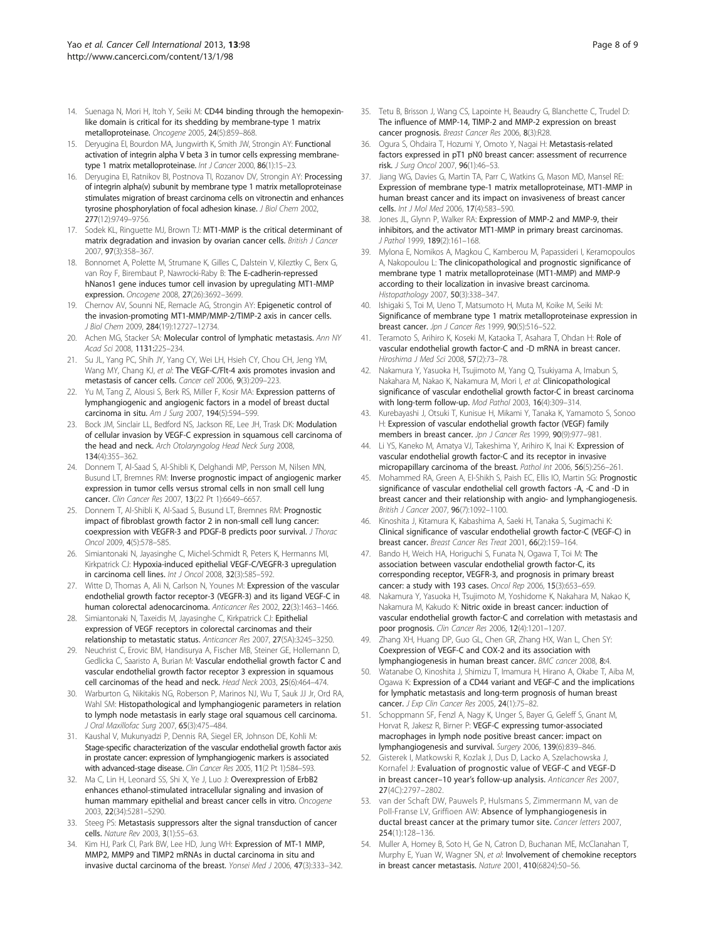- <span id="page-7-0"></span>14. Suenaga N, Mori H, Itoh Y, Seiki M: CD44 binding through the hemopexinlike domain is critical for its shedding by membrane-type 1 matrix metalloproteinase. Oncogene 2005, 24(5):859–868.
- 15. Deryugina EI, Bourdon MA, Jungwirth K, Smith JW, Strongin AY: Functional activation of integrin alpha V beta 3 in tumor cells expressing membranetype 1 matrix metalloproteinase. Int J Cancer 2000, 86(1):15-23.
- 16. Deryugina EI, Ratnikov BI, Postnova TI, Rozanov DV, Strongin AY: Processing of integrin alpha(v) subunit by membrane type 1 matrix metalloproteinase stimulates migration of breast carcinoma cells on vitronectin and enhances tyrosine phosphorylation of focal adhesion kinase. J Biol Chem 2002, 277(12):9749–9756.
- 17. Sodek KL, Ringuette MJ, Brown TJ: MT1-MMP is the critical determinant of matrix degradation and invasion by ovarian cancer cells. British J Cancer 2007, 97(3):358–367.
- 18. Bonnomet A, Polette M, Strumane K, Gilles C, Dalstein V, Kileztky C, Berx G, van Roy F, Birembaut P, Nawrocki-Raby B: The E-cadherin-repressed hNanos1 gene induces tumor cell invasion by upregulating MT1-MMP expression. Oncogene 2008, 27(26):3692–3699.
- 19. Chernov AV, Sounni NE, Remacle AG, Strongin AY: Epigenetic control of the invasion-promoting MT1-MMP/MMP-2/TIMP-2 axis in cancer cells. J Biol Chem 2009, 284(19):12727–12734.
- 20. Achen MG, Stacker SA: Molecular control of lymphatic metastasis. Ann NY Acad Sci 2008, 1131:225–234.
- 21. Su JL, Yang PC, Shih JY, Yang CY, Wei LH, Hsieh CY, Chou CH, Jeng YM, Wang MY, Chang KJ, et al: The VEGF-C/Flt-4 axis promotes invasion and metastasis of cancer cells. Cancer cell 2006, 9(3):209–223.
- 22. Yu M, Tang Z, Alousi S, Berk RS, Miller F, Kosir MA: Expression patterns of lymphangiogenic and angiogenic factors in a model of breast ductal carcinoma in situ. Am J Surg 2007, 194(5):594–599.
- 23. Bock JM, Sinclair LL, Bedford NS, Jackson RE, Lee JH, Trask DK: Modulation of cellular invasion by VEGF-C expression in squamous cell carcinoma of the head and neck. Arch Otolaryngolog Head Neck Surg 2008, 134(4):355–362.
- 24. Donnem T, Al-Saad S, Al-Shibli K, Delghandi MP, Persson M, Nilsen MN, Busund LT, Bremnes RM: Inverse prognostic impact of angiogenic marker expression in tumor cells versus stromal cells in non small cell lung cancer. Clin Cancer Res 2007, 13(22 Pt 1):6649–6657.
- 25. Donnem T, Al-Shibli K, Al-Saad S, Busund LT, Bremnes RM: Prognostic impact of fibroblast growth factor 2 in non-small cell lung cancer: coexpression with VEGFR-3 and PDGF-B predicts poor survival. J Thorac Oncol 2009, 4(5):578–585.
- 26. Simiantonaki N, Jayasinghe C, Michel-Schmidt R, Peters K, Hermanns MI, Kirkpatrick CJ: Hypoxia-induced epithelial VEGF-C/VEGFR-3 upregulation in carcinoma cell lines. Int J Oncol 2008, 32(3):585–592.
- 27. Witte D, Thomas A, Ali N, Carlson N, Younes M: Expression of the vascular endothelial growth factor receptor-3 (VEGFR-3) and its ligand VEGF-C in human colorectal adenocarcinoma. Anticancer Res 2002, 22(3):1463–1466.
- 28. Simiantonaki N, Taxeidis M, Jayasinghe C, Kirkpatrick CJ: Epithelial expression of VEGF receptors in colorectal carcinomas and their relationship to metastatic status. Anticancer Res 2007, 27(5A):3245–3250.
- 29. Neuchrist C, Erovic BM, Handisurya A, Fischer MB, Steiner GE, Hollemann D, Gedlicka C, Saaristo A, Burian M: Vascular endothelial growth factor C and vascular endothelial growth factor receptor 3 expression in squamous cell carcinomas of the head and neck. Head Neck 2003, 25(6):464–474.
- 30. Warburton G, Nikitakis NG, Roberson P, Marinos NJ, Wu T, Sauk JJ Jr, Ord RA, Wahl SM: Histopathological and lymphangiogenic parameters in relation to lymph node metastasis in early stage oral squamous cell carcinoma. J Oral Maxillofac Surg 2007, 65(3):475–484.
- 31. Kaushal V, Mukunyadzi P, Dennis RA, Siegel ER, Johnson DE, Kohli M: Stage-specific characterization of the vascular endothelial growth factor axis in prostate cancer: expression of lymphangiogenic markers is associated with advanced-stage disease. Clin Cancer Res 2005, 11(2 Pt 1):584-593.
- 32. Ma C, Lin H, Leonard SS, Shi X, Ye J, Luo J: Overexpression of ErbB2 enhances ethanol-stimulated intracellular signaling and invasion of human mammary epithelial and breast cancer cells in vitro. Oncogene 2003, 22(34):5281–5290.
- 33. Steeg PS: Metastasis suppressors alter the signal transduction of cancer cells. Nature Rev 2003, 3(1):55–63.
- 34. Kim HJ, Park CI, Park BW, Lee HD, Jung WH: Expression of MT-1 MMP, MMP2, MMP9 and TIMP2 mRNAs in ductal carcinoma in situ and invasive ductal carcinoma of the breast. Yonsei Med J 2006, 47(3):333–342.
- 35. Tetu B, Brisson J, Wang CS, Lapointe H, Beaudry G, Blanchette C, Trudel D: The influence of MMP-14, TIMP-2 and MMP-2 expression on breast cancer prognosis. Breast Cancer Res 2006, 8(3):R28.
- 36. Ogura S, Ohdaira T, Hozumi Y, Omoto Y, Nagai H: Metastasis-related factors expressed in pT1 pN0 breast cancer: assessment of recurrence risk. J Surg Oncol 2007, 96(1):46–53.
- 37. Jiang WG, Davies G, Martin TA, Parr C, Watkins G, Mason MD, Mansel RE: Expression of membrane type-1 matrix metalloproteinase, MT1-MMP in human breast cancer and its impact on invasiveness of breast cancer cells. Int J Mol Med 2006, 17(4):583–590.
- Jones JL, Glynn P, Walker RA: Expression of MMP-2 and MMP-9, their inhibitors, and the activator MT1-MMP in primary breast carcinomas. J Pathol 1999, 189(2):161–168.
- 39. Mylona E, Nomikos A, Magkou C, Kamberou M, Papassideri I, Keramopoulos A, Nakopoulou L: The clinicopathological and prognostic significance of membrane type 1 matrix metalloproteinase (MT1-MMP) and MMP-9 according to their localization in invasive breast carcinoma. Histopathology 2007, 50(3):338-347.
- 40. Ishigaki S, Toi M, Ueno T, Matsumoto H, Muta M, Koike M, Seiki M: Significance of membrane type 1 matrix metalloproteinase expression in breast cancer. Jpn J Cancer Res 1999, 90(5):516–522.
- Teramoto S, Arihiro K, Koseki M, Kataoka T, Asahara T, Ohdan H: Role of vascular endothelial growth factor-C and -D mRNA in breast cancer. Hiroshima J Med Sci 2008, 57(2):73–78.
- 42. Nakamura Y, Yasuoka H, Tsujimoto M, Yang Q, Tsukiyama A, Imabun S, Nakahara M, Nakao K, Nakamura M, Mori I, et al: Clinicopathological significance of vascular endothelial growth factor-C in breast carcinoma with long-term follow-up. Mod Pathol 2003, 16(4):309–314.
- 43. Kurebayashi J, Otsuki T, Kunisue H, Mikami Y, Tanaka K, Yamamoto S, Sonoo H: Expression of vascular endothelial growth factor (VEGF) family members in breast cancer. Jpn J Cancer Res 1999, 90(9):977-981.
- 44. Li YS, Kaneko M, Amatya VJ, Takeshima Y, Arihiro K, Inai K: Expression of vascular endothelial growth factor-C and its receptor in invasive micropapillary carcinoma of the breast. Pathol Int 2006, 56(5):256–261.
- 45. Mohammed RA, Green A, El-Shikh S, Paish EC, Ellis IO, Martin SG: Prognostic significance of vascular endothelial cell growth factors -A, -C and -D in breast cancer and their relationship with angio- and lymphangiogenesis. British J Cancer 2007, 96(7):1092–1100.
- 46. Kinoshita J, Kitamura K, Kabashima A, Saeki H, Tanaka S, Sugimachi K: Clinical significance of vascular endothelial growth factor-C (VEGF-C) in breast cancer. Breast Cancer Res Treat 2001, 66(2):159–164.
- 47. Bando H, Weich HA, Horiguchi S, Funata N, Ogawa T, Toi M: The association between vascular endothelial growth factor-C, its corresponding receptor, VEGFR-3, and prognosis in primary breast cancer: a study with 193 cases. Oncol Rep 2006, 15(3):653–659.
- 48. Nakamura Y, Yasuoka H, Tsujimoto M, Yoshidome K, Nakahara M, Nakao K, Nakamura M, Kakudo K: Nitric oxide in breast cancer: induction of vascular endothelial growth factor-C and correlation with metastasis and poor prognosis. Clin Cancer Res 2006, 12(4):1201–1207.
- 49. Zhang XH, Huang DP, Guo GL, Chen GR, Zhang HX, Wan L, Chen SY: Coexpression of VEGF-C and COX-2 and its association with lymphangiogenesis in human breast cancer. BMC cancer 2008, 8:4.
- 50. Watanabe O, Kinoshita J, Shimizu T, Imamura H, Hirano A, Okabe T, Aiba M, Ogawa K: Expression of a CD44 variant and VEGF-C and the implications for lymphatic metastasis and long-term prognosis of human breast cancer. J Exp Clin Cancer Res 2005, 24(1):75-82.
- 51. Schoppmann SF, Fenzl A, Nagy K, Unger S, Bayer G, Geleff S, Gnant M, Horvat R, Jakesz R, Birner P: VEGF-C expressing tumor-associated macrophages in lymph node positive breast cancer: impact on lymphangiogenesis and survival. Surgery 2006, 139(6):839–846.
- 52. Gisterek I, Matkowski R, Kozlak J, Dus D, Lacko A, Szelachowska J, Kornafel J: Evaluation of prognostic value of VEGF-C and VEGF-D in breast cancer–10 year's follow-up analysis. Anticancer Res 2007, 27(4C):2797–2802.
- 53. van der Schaft DW, Pauwels P, Hulsmans S, Zimmermann M, van de Poll-Franse LV, Griffioen AW: Absence of lymphangiogenesis in ductal breast cancer at the primary tumor site. Cancer letters 2007, 254(1):128–136.
- 54. Muller A, Homey B, Soto H, Ge N, Catron D, Buchanan ME, McClanahan T, Murphy E, Yuan W, Wagner SN, et al: Involvement of chemokine receptors in breast cancer metastasis. Nature 2001, 410(6824):50–56.